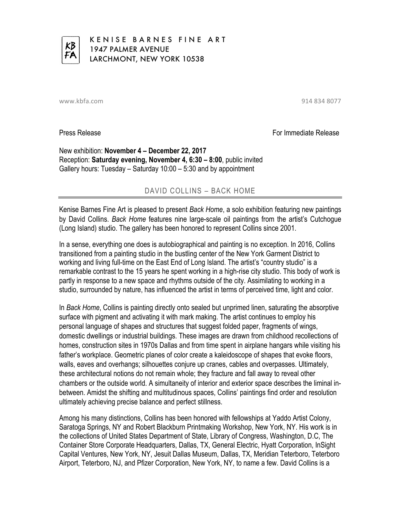

KENISE BARNES FINE ART 1947 PALMER AVENUE LARCHMONT, NEW YORK 10538

www.kbfa.com 914 834 8077

Press Release For Immediate Release For Immediate Release

New exhibition: **November 4 – December 22, 2017** Reception: **Saturday evening, November 4, 6:30 – 8:00**, public invited Gallery hours: Tuesday – Saturday 10:00 – 5:30 and by appointment

## DAVID COLLINS – BACK HOME

Kenise Barnes Fine Art is pleased to present *Back Home*, a solo exhibition featuring new paintings by David Collins. *Back Home* features nine large-scale oil paintings from the artist's Cutchogue (Long Island) studio. The gallery has been honored to represent Collins since 2001.

In a sense, everything one does is autobiographical and painting is no exception. In 2016, Collins transitioned from a painting studio in the bustling center of the New York Garment District to working and living full-time on the East End of Long Island. The artist's "country studio" is a remarkable contrast to the 15 years he spent working in a high-rise city studio. This body of work is partly in response to a new space and rhythms outside of the city. Assimilating to working in a studio, surrounded by nature, has influenced the artist in terms of perceived time, light and color.

In *Back Home*, Collins is painting directly onto sealed but unprimed linen, saturating the absorptive surface with pigment and activating it with mark making. The artist continues to employ his personal language of shapes and structures that suggest folded paper, fragments of wings, domestic dwellings or industrial buildings. These images are drawn from childhood recollections of homes, construction sites in 1970s Dallas and from time spent in airplane hangars while visiting his father's workplace. Geometric planes of color create a kaleidoscope of shapes that evoke floors, walls, eaves and overhangs; silhouettes conjure up cranes, cables and overpasses. Ultimately, these architectural notions do not remain whole; they fracture and fall away to reveal other chambers or the outside world. A simultaneity of interior and exterior space describes the liminal inbetween. Amidst the shifting and multitudinous spaces, Collins' paintings find order and resolution ultimately achieving precise balance and perfect stillness.

Among his many distinctions, Collins has been honored with fellowships at Yaddo Artist Colony, Saratoga Springs, NY and Robert Blackburn Printmaking Workshop, New York, NY. His work is in the collections of United States Department of State, Library of Congress, Washington, D.C, The Container Store Corporate Headquarters, Dallas, TX, General Electric, Hyatt Corporation, InSight Capital Ventures, New York, NY, Jesuit Dallas Museum, Dallas, TX, Meridian Teterboro, Teterboro Airport, Teterboro, NJ, and Pfizer Corporation, New York, NY, to name a few. David Collins is a